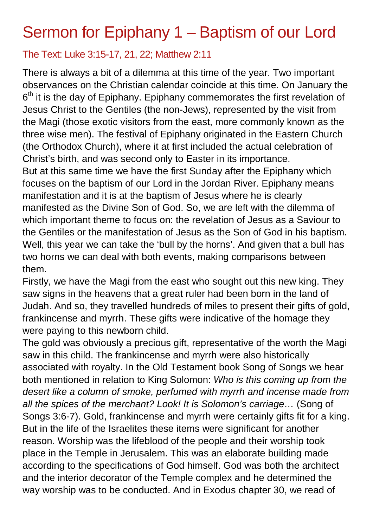## Sermon for Epiphany 1 – Baptism of our Lord

## The Text: Luke 3:15-17, 21, 22; Matthew 2:11

There is always a bit of a dilemma at this time of the year. Two important observances on the Christian calendar coincide at this time. On January the  $6<sup>th</sup>$  it is the day of Epiphany. Epiphany commemorates the first revelation of Jesus Christ to the Gentiles (the non-Jews), represented by the visit from the Magi (those exotic visitors from the east, more commonly known as the three wise men). The festival of Epiphany originated in the Eastern Church (the Orthodox Church), where it at first included the actual celebration of Christ's birth, and was second only to Easter in its importance. But at this same time we have the first Sunday after the Epiphany which focuses on the baptism of our Lord in the Jordan River. Epiphany means manifestation and it is at the baptism of Jesus where he is clearly manifested as the Divine Son of God. So, we are left with the dilemma of which important theme to focus on: the revelation of Jesus as a Saviour to the Gentiles or the manifestation of Jesus as the Son of God in his baptism. Well, this year we can take the 'bull by the horns'. And given that a bull has two horns we can deal with both events, making comparisons between them.

Firstly, we have the Magi from the east who sought out this new king. They saw signs in the heavens that a great ruler had been born in the land of Judah. And so, they travelled hundreds of miles to present their gifts of gold, frankincense and myrrh. These gifts were indicative of the homage they were paying to this newborn child.

The gold was obviously a precious gift, representative of the worth the Magi saw in this child. The frankincense and myrrh were also historically associated with royalty. In the Old Testament book Song of Songs we hear both mentioned in relation to King Solomon: *Who is this coming up from the desert like a column of smoke, perfumed with myrrh and incense made from all the spices of the merchant? Look! It is Solomon's carriage…* (Song of Songs 3:6-7). Gold, frankincense and myrrh were certainly gifts fit for a king. But in the life of the Israelites these items were significant for another reason. Worship was the lifeblood of the people and their worship took place in the Temple in Jerusalem. This was an elaborate building made according to the specifications of God himself. God was both the architect and the interior decorator of the Temple complex and he determined the way worship was to be conducted. And in Exodus chapter 30, we read of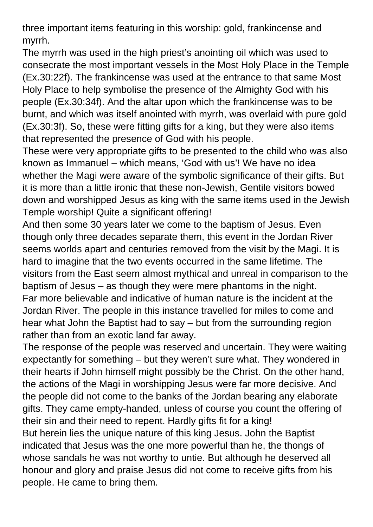three important items featuring in this worship: gold, frankincense and myrrh.

The myrrh was used in the high priest's anointing oil which was used to consecrate the most important vessels in the Most Holy Place in the Temple (Ex.30:22f). The frankincense was used at the entrance to that same Most Holy Place to help symbolise the presence of the Almighty God with his people (Ex.30:34f). And the altar upon which the frankincense was to be burnt, and which was itself anointed with myrrh, was overlaid with pure gold (Ex.30:3f). So, these were fitting gifts for a king, but they were also items that represented the presence of God with his people.

These were very appropriate gifts to be presented to the child who was also known as Immanuel – which means, 'God with us'! We have no idea whether the Magi were aware of the symbolic significance of their gifts. But it is more than a little ironic that these non-Jewish, Gentile visitors bowed down and worshipped Jesus as king with the same items used in the Jewish Temple worship! Quite a significant offering!

And then some 30 years later we come to the baptism of Jesus. Even though only three decades separate them, this event in the Jordan River seems worlds apart and centuries removed from the visit by the Magi. It is hard to imagine that the two events occurred in the same lifetime. The visitors from the East seem almost mythical and unreal in comparison to the baptism of Jesus – as though they were mere phantoms in the night. Far more believable and indicative of human nature is the incident at the Jordan River. The people in this instance travelled for miles to come and hear what John the Baptist had to say – but from the surrounding region rather than from an exotic land far away.

The response of the people was reserved and uncertain. They were waiting expectantly for something – but they weren't sure what. They wondered in their hearts if John himself might possibly be the Christ. On the other hand, the actions of the Magi in worshipping Jesus were far more decisive. And the people did not come to the banks of the Jordan bearing any elaborate gifts. They came empty-handed, unless of course you count the offering of their sin and their need to repent. Hardly gifts fit for a king!

But herein lies the unique nature of this king Jesus. John the Baptist indicated that Jesus was the one more powerful than he, the thongs of whose sandals he was not worthy to untie. But although he deserved all honour and glory and praise Jesus did not come to receive gifts from his people. He came to bring them.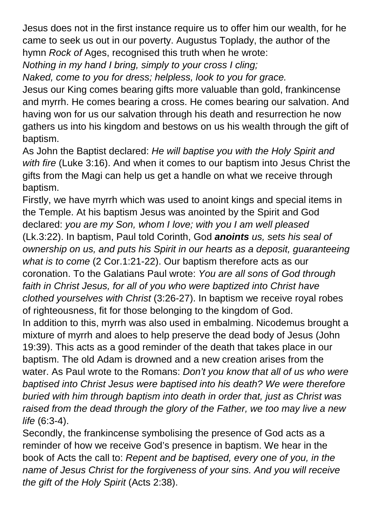Jesus does not in the first instance require us to offer him our wealth, for he came to seek us out in our poverty. Augustus Toplady, the author of the hymn *Rock of* Ages, recognised this truth when he wrote:

*Nothing in my hand I bring, simply to your cross I cling;* 

*Naked, come to you for dress; helpless, look to you for grace.* 

Jesus our King comes bearing gifts more valuable than gold, frankincense and myrrh. He comes bearing a cross. He comes bearing our salvation. And having won for us our salvation through his death and resurrection he now gathers us into his kingdom and bestows on us his wealth through the gift of baptism.

As John the Baptist declared: *He will baptise you with the Holy Spirit and with fire* (Luke 3:16). And when it comes to our baptism into Jesus Christ the gifts from the Magi can help us get a handle on what we receive through baptism.

Firstly, we have myrrh which was used to anoint kings and special items in the Temple. At his baptism Jesus was anointed by the Spirit and God declared: *you are my Son, whom I love; with you I am well pleased* (Lk.3:22). In baptism, Paul told Corinth, God *anoints us, sets his seal of ownership on us, and puts his Spirit in our hearts as a deposit, guaranteeing what is to come* (2 Cor.1:21-22). Our baptism therefore acts as our coronation. To the Galatians Paul wrote: *You are all sons of God through*  faith in Christ Jesus, for all of you who were baptized into Christ have *clothed yourselves with Christ* (3:26-27). In baptism we receive royal robes of righteousness, fit for those belonging to the kingdom of God. In addition to this, myrrh was also used in embalming. Nicodemus brought a mixture of myrrh and aloes to help preserve the dead body of Jesus (John 19:39). This acts as a good reminder of the death that takes place in our baptism. The old Adam is drowned and a new creation arises from the water. As Paul wrote to the Romans: *Don't you know that all of us who were baptised into Christ Jesus were baptised into his death? We were therefore buried with him through baptism into death in order that, just as Christ was raised from the dead through the glory of the Father, we too may live a new life* (6:3-4).

Secondly, the frankincense symbolising the presence of God acts as a reminder of how we receive God's presence in baptism. We hear in the book of Acts the call to: *Repent and be baptised, every one of you, in the name of Jesus Christ for the forgiveness of your sins. And you will receive the gift of the Holy Spirit* (Acts 2:38).